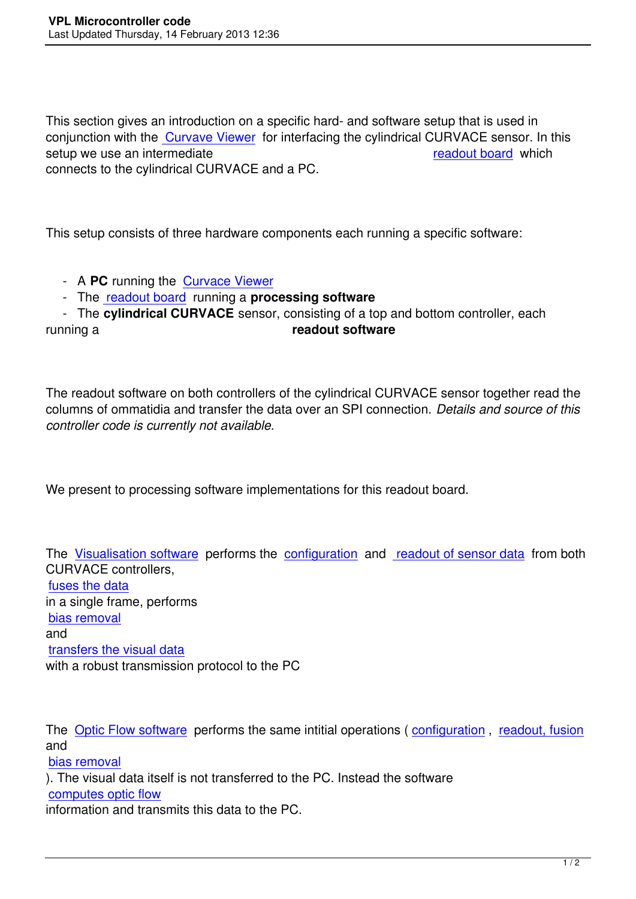This section gives an introduction on a specific hard- and software setup that is used in conjunction with the Curvave Viewer for interfacing the cylindrical CURVACE sensor. In this setup we use an intermediate readout board which connects to the cylindrical CURVACE and a PC.

This setup consists of three hardware components each running a specific software:

- A **PC** running the Curvace Viewer

- The readout board running a **processing software**

 - The **cylindrical CURVACE** sensor, consisting of a top and bottom controller, each running a **readout software**

The readout software on both controllers of the cylindrical CURVACE sensor together read the columns of ommatidia and transfer the data over an SPI connection. *Details and source of this controller code is currently not available.*

We present to processing software implementations for this readout board.

The Visualisation software performs the configuration and readout of sensor data from both CURVACE controllers, fuses the data in a [single frame, performs](index.php?option=com_content&view=article&id=116:readout-board-visualisation-software&catid=56)  bias removal [and](index.php?option=com_content&view=article&id=112:data-reading-and-fusion&catid=56) transfers the visual data [with a robust](index.php?option=com_content&view=article&id=113:bias-removal&catid=56) transmission protocol to the PC

The Optic Flow software performs the same intitial operations (configuration, readout, fusion and

bias removal

). Th[e visual data itself is](index.php?option=com_content&view=article&id=117:readout-board-optic-flow-software&catid=56) not transferred to the PC. Instead the s[oftware](index.php?option=com_content&view=article&id=118:sensor-configuration&catid=56)  computes optic flow [information an](index.php?option=com_content&view=article&id=113:bias-removal&catid=56)d transmits this data to the PC.